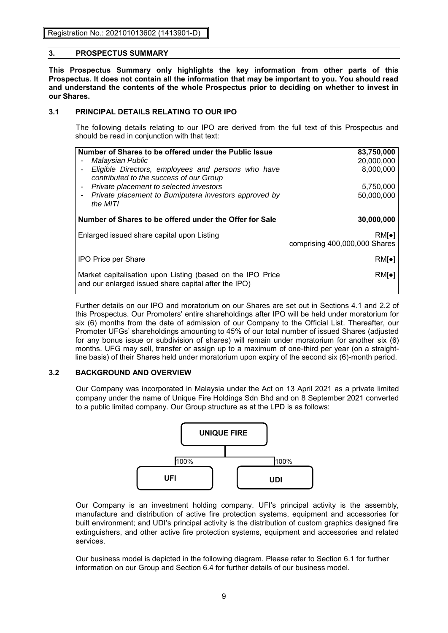Registration No.: 202101013602 (1413901-D)

## **3. PROSPECTUS SUMMARY**

**This Prospectus Summary only highlights the key information from other parts of this Prospectus. It does not contain all the information that may be important to you. You should read and understand the contents of the whole Prospectus prior to deciding on whether to invest in our Shares.**

# **3.1 PRINCIPAL DETAILS RELATING TO OUR IPO**

The following details relating to our IPO are derived from the full text of this Prospectus and should be read in conjunction with that text:

| Number of Shares to be offered under the Public Issue      | 83,750,000                    |
|------------------------------------------------------------|-------------------------------|
| Malaysian Public                                           | 20.000.000                    |
| Eligible Directors, employees and persons who have         | 8,000,000                     |
| contributed to the success of our Group                    |                               |
| Private placement to selected investors                    | 5,750,000                     |
| Private placement to Bumiputera investors approved by      | 50.000.000                    |
| the MITI                                                   |                               |
|                                                            |                               |
| Number of Shares to be offered under the Offer for Sale    | 30,000,000                    |
| Enlarged issued share capital upon Listing                 | $RM\bullet$                   |
|                                                            | comprising 400,000,000 Shares |
|                                                            |                               |
| <b>IPO Price per Share</b>                                 | $RM\bullet$                   |
|                                                            |                               |
| Market capitalisation upon Listing (based on the IPO Price | $RM\lceil \bullet \rceil$     |
| and our enlarged issued share capital after the IPO)       |                               |
|                                                            |                               |

Further details on our IPO and moratorium on our Shares are set out in Sections 4.1 and 2.2 of this Prospectus. Our Promoters' entire shareholdings after IPO will be held under moratorium for six (6) months from the date of admission of our Company to the Official List. Thereafter, our Promoter UFGs' shareholdings amounting to 45% of our total number of issued Shares (adjusted for any bonus issue or subdivision of shares) will remain under moratorium for another six (6) months. UFG may sell, transfer or assign up to a maximum of one-third per year (on a straightline basis) of their Shares held under moratorium upon expiry of the second six (6)-month period.

# **3.2 BACKGROUND AND OVERVIEW**

Our Company was incorporated in Malaysia under the Act on 13 April 2021 as a private limited company under the name of Unique Fire Holdings Sdn Bhd and on 8 September 2021 converted to a public limited company. Our Group structure as at the LPD is as follows:



Our Company is an investment holding company. UFI's principal activity is the assembly, manufacture and distribution of active fire protection systems, equipment and accessories for built environment; and UDI's principal activity is the distribution of custom graphics designed fire extinguishers, and other active fire protection systems, equipment and accessories and related services.

Our business model is depicted in the following diagram. Please refer to Section 6.1 for further information on our Group and Section 6.4 for further details of our business model.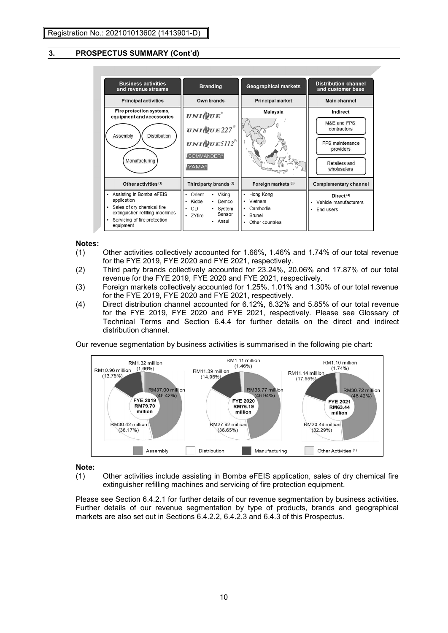

## **Notes:**

- (1) Other activities collectively accounted for 1.66%, 1.46% and 1.74% of our total revenue for the FYE 2019, FYE 2020 and FYE 2021, respectively.
- (2) Third party brands collectively accounted for 23.24%, 20.06% and 17.87% of our total revenue for the FYE 2019, FYE 2020 and FYE 2021, respectively.
- (3) Foreign markets collectively accounted for 1.25%, 1.01% and 1.30% of our total revenue for the FYE 2019, FYE 2020 and FYE 2021, respectively.
- (4) Direct distribution channel accounted for 6.12%, 6.32% and 5.85% of our total revenue for the FYE 2019, FYE 2020 and FYE 2021, respectively. Please see Glossary of Technical Terms and Section 6.4.4 for further details on the direct and indirect distribution channel.

Our revenue segmentation by business activities is summarised in the following pie chart:



#### **Note:**

(1) Other activities include assisting in Bomba eFEIS application, sales of dry chemical fire extinguisher refilling machines and servicing of fire protection equipment.

Please see Section 6.4.2.1 for further details of our revenue segmentation by business activities. Further details of our revenue segmentation by type of products, brands and geographical markets are also set out in Sections 6.4.2.2, 6.4.2.3 and 6.4.3 of this Prospectus.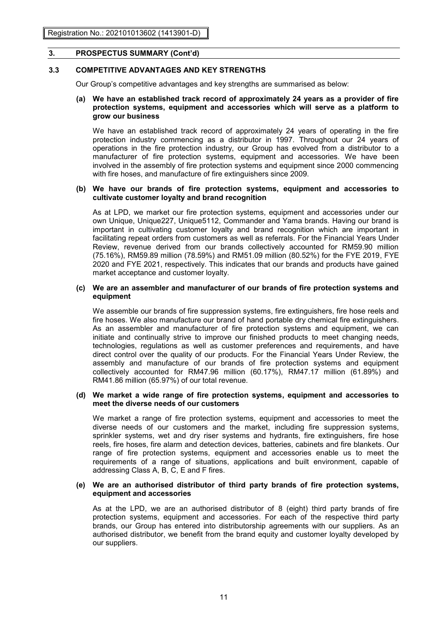## **3.3 COMPETITIVE ADVANTAGES AND KEY STRENGTHS**

Our Group's competitive advantages and key strengths are summarised as below:

#### **(a) We have an established track record of approximately 24 years as a provider of fire protection systems, equipment and accessories which will serve as a platform to grow our business**

We have an established track record of approximately 24 years of operating in the fire protection industry commencing as a distributor in 1997. Throughout our 24 years of operations in the fire protection industry, our Group has evolved from a distributor to a manufacturer of fire protection systems, equipment and accessories. We have been involved in the assembly of fire protection systems and equipment since 2000 commencing with fire hoses, and manufacture of fire extinguishers since 2009.

#### **(b) We have our brands of fire protection systems, equipment and accessories to cultivate customer loyalty and brand recognition**

As at LPD, we market our fire protection systems, equipment and accessories under our own Unique, Unique227, Unique5112, Commander and Yama brands. Having our brand is important in cultivating customer loyalty and brand recognition which are important in facilitating repeat orders from customers as well as referrals. For the Financial Years Under Review, revenue derived from our brands collectively accounted for RM59.90 million (75.16%), RM59.89 million (78.59%) and RM51.09 million (80.52%) for the FYE 2019, FYE 2020 and FYE 2021, respectively. This indicates that our brands and products have gained market acceptance and customer loyalty.

#### **(c) We are an assembler and manufacturer of our brands of fire protection systems and equipment**

We assemble our brands of fire suppression systems, fire extinguishers, fire hose reels and fire hoses. We also manufacture our brand of hand portable dry chemical fire extinguishers. As an assembler and manufacturer of fire protection systems and equipment, we can initiate and continually strive to improve our finished products to meet changing needs, technologies, regulations as well as customer preferences and requirements, and have direct control over the quality of our products. For the Financial Years Under Review, the assembly and manufacture of our brands of fire protection systems and equipment collectively accounted for RM47.96 million (60.17%), RM47.17 million (61.89%) and RM41.86 million (65.97%) of our total revenue.

#### **(d) We market a wide range of fire protection systems, equipment and accessories to meet the diverse needs of our customers**

We market a range of fire protection systems, equipment and accessories to meet the diverse needs of our customers and the market, including fire suppression systems, sprinkler systems, wet and dry riser systems and hydrants, fire extinguishers, fire hose reels, fire hoses, fire alarm and detection devices, batteries, cabinets and fire blankets. Our range of fire protection systems, equipment and accessories enable us to meet the requirements of a range of situations, applications and built environment, capable of addressing Class A, B, C, E and F fires.

#### **(e) We are an authorised distributor of third party brands of fire protection systems, equipment and accessories**

As at the LPD, we are an authorised distributor of 8 (eight) third party brands of fire protection systems, equipment and accessories. For each of the respective third party brands, our Group has entered into distributorship agreements with our suppliers. As an authorised distributor, we benefit from the brand equity and customer loyalty developed by our suppliers.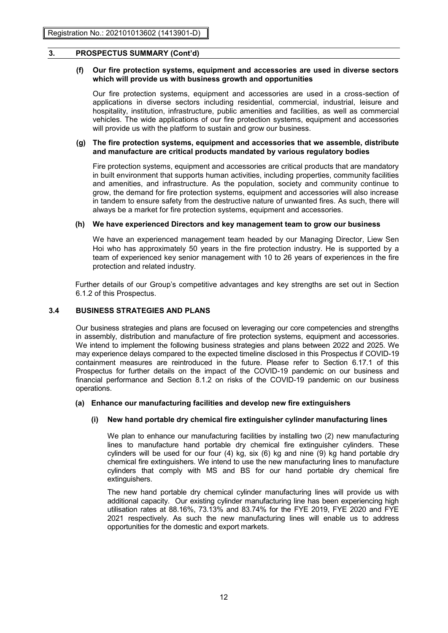## **(f) Our fire protection systems, equipment and accessories are used in diverse sectors which will provide us with business growth and opportunities**

Our fire protection systems, equipment and accessories are used in a cross-section of applications in diverse sectors including residential, commercial, industrial, leisure and hospitality, institution, infrastructure, public amenities and facilities, as well as commercial vehicles. The wide applications of our fire protection systems, equipment and accessories will provide us with the platform to sustain and grow our business.

## **(g) The fire protection systems, equipment and accessories that we assemble, distribute and manufacture are critical products mandated by various regulatory bodies**

Fire protection systems, equipment and accessories are critical products that are mandatory in built environment that supports human activities, including properties, community facilities and amenities, and infrastructure. As the population, society and community continue to grow, the demand for fire protection systems, equipment and accessories will also increase in tandem to ensure safety from the destructive nature of unwanted fires. As such, there will always be a market for fire protection systems, equipment and accessories.

## **(h) We have experienced Directors and key management team to grow our business**

We have an experienced management team headed by our Managing Director, Liew Sen Hoi who has approximately 50 years in the fire protection industry. He is supported by a team of experienced key senior management with 10 to 26 years of experiences in the fire protection and related industry.

Further details of our Group's competitive advantages and key strengths are set out in Section 6.1.2 of this Prospectus.

## **3.4 BUSINESS STRATEGIES AND PLANS**

Our business strategies and plans are focused on leveraging our core competencies and strengths in assembly, distribution and manufacture of fire protection systems, equipment and accessories. We intend to implement the following business strategies and plans between 2022 and 2025. We may experience delays compared to the expected timeline disclosed in this Prospectus if COVID-19 containment measures are reintroduced in the future. Please refer to Section 6.17.1 of this Prospectus for further details on the impact of the COVID-19 pandemic on our business and financial performance and Section 8.1.2 on risks of the COVID-19 pandemic on our business operations.

#### **(a) Enhance our manufacturing facilities and develop new fire extinguishers**

#### **(i) New hand portable dry chemical fire extinguisher cylinder manufacturing lines**

We plan to enhance our manufacturing facilities by installing two (2) new manufacturing lines to manufacture hand portable dry chemical fire extinguisher cylinders. These cylinders will be used for our four (4) kg, six (6) kg and nine (9) kg hand portable dry chemical fire extinguishers. We intend to use the new manufacturing lines to manufacture cylinders that comply with MS and BS for our hand portable dry chemical fire extinguishers.

The new hand portable dry chemical cylinder manufacturing lines will provide us with additional capacity. Our existing cylinder manufacturing line has been experiencing high utilisation rates at 88.16%, 73.13% and 83.74% for the FYE 2019, FYE 2020 and FYE 2021 respectively. As such the new manufacturing lines will enable us to address opportunities for the domestic and export markets.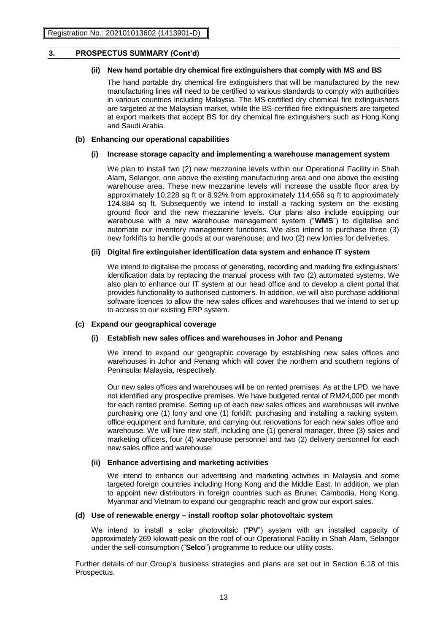## **(ii) New hand portable dry chemical fire extinguishers that comply with MS and BS**

The hand portable dry chemical fire extinguishers that will be manufactured by the new manufacturing lines will need to be certified to various standards to comply with authorities in various countries including Malaysia. The MS-certified dry chemical fire extinguishers are targeted at the Malaysian market, while the BS-certified fire extinguishers are targeted at export markets that accept BS for dry chemical fire extinguishers such as Hong Kong and Saudi Arabia.

#### **(b) Enhancing our operational capabilities**

#### **(i) Increase storage capacity and implementing a warehouse management system**

We plan to install two (2) new mezzanine levels within our Operational Facility in Shah Alam, Selangor, one above the existing manufacturing area and one above the existing warehouse area. These new mezzanine levels will increase the usable floor area by approximately 10,228 sq ft or 8.92% from approximately 114,656 sq ft to approximately 124,884 sq ft. Subsequently we intend to install a racking system on the existing ground floor and the new mezzanine levels. Our plans also include equipping our warehouse with a new warehouse management system ("**WMS**") to digitalise and automate our inventory management functions. We also intend to purchase three (3) new forklifts to handle goods at our warehouse; and two (2) new lorries for deliveries.

#### **(ii) Digital fire extinguisher identification data system and enhance IT system**

We intend to digitalise the process of generating, recording and marking fire extinguishers' identification data by replacing the manual process with two (2) automated systems. We also plan to enhance our IT system at our head office and to develop a client portal that provides functionality to authorised customers. In addition, we will also purchase additional software licences to allow the new sales offices and warehouses that we intend to set up to access to our existing ERP system.

#### **(c) Expand our geographical coverage**

#### **(i) Establish new sales offices and warehouses in Johor and Penang**

We intend to expand our geographic coverage by establishing new sales offices and warehouses in Johor and Penang which will cover the northern and southern regions of Peninsular Malaysia, respectively.

Our new sales offices and warehouses will be on rented premises. As at the LPD, we have not identified any prospective premises. We have budgeted rental of RM24,000 per month for each rented premise. Setting up of each new sales offices and warehouses will involve purchasing one (1) lorry and one (1) forklift, purchasing and installing a racking system, office equipment and furniture, and carrying out renovations for each new sales office and warehouse. We will hire new staff, including one (1) general manager, three (3) sales and marketing officers, four (4) warehouse personnel and two (2) delivery personnel for each new sales office and warehouse.

#### **(ii) Enhance advertising and marketing activities**

We intend to enhance our advertising and marketing activities in Malaysia and some targeted foreign countries including Hong Kong and the Middle East. In addition, we plan to appoint new distributors in foreign countries such as Brunei, Cambodia, Hong Kong, Myanmar and Vietnam to expand our geographic reach and grow our export sales.

#### **(d) Use of renewable energy – install rooftop solar photovoltaic system**

We intend to install a solar photovoltaic ("**PV**") system with an installed capacity of approximately 269 kilowatt-peak on the roof of our Operational Facility in Shah Alam, Selangor under the self-consumption ("**Selco**") programme to reduce our utility costs.

Further details of our Group's business strategies and plans are set out in Section 6.18 of this Prospectus.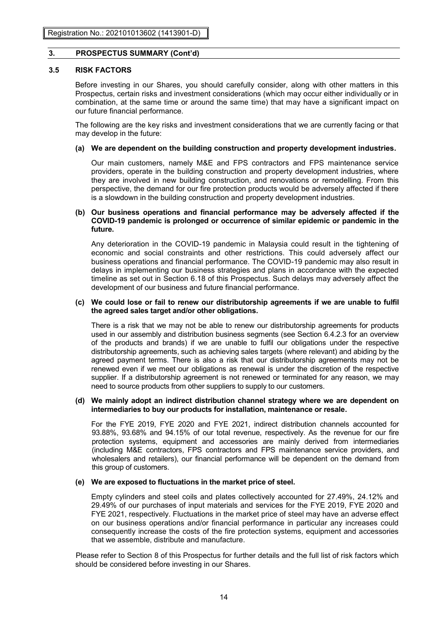## **3.5 RISK FACTORS**

Before investing in our Shares, you should carefully consider, along with other matters in this Prospectus, certain risks and investment considerations (which may occur either individually or in combination, at the same time or around the same time) that may have a significant impact on our future financial performance.

The following are the key risks and investment considerations that we are currently facing or that may develop in the future:

#### **(a) We are dependent on the building construction and property development industries.**

Our main customers, namely M&E and FPS contractors and FPS maintenance service providers, operate in the building construction and property development industries, where they are involved in new building construction, and renovations or remodelling. From this perspective, the demand for our fire protection products would be adversely affected if there is a slowdown in the building construction and property development industries.

## **(b) Our business operations and financial performance may be adversely affected if the COVID-19 pandemic is prolonged or occurrence of similar epidemic or pandemic in the future.**

Any deterioration in the COVID-19 pandemic in Malaysia could result in the tightening of economic and social constraints and other restrictions. This could adversely affect our business operations and financial performance. The COVID-19 pandemic may also result in delays in implementing our business strategies and plans in accordance with the expected timeline as set out in Section 6.18 of this Prospectus. Such delays may adversely affect the development of our business and future financial performance.

#### **(c) We could lose or fail to renew our distributorship agreements if we are unable to fulfil the agreed sales target and/or other obligations.**

There is a risk that we may not be able to renew our distributorship agreements for products used in our assembly and distribution business segments (see Section 6.4.2.3 for an overview of the products and brands) if we are unable to fulfil our obligations under the respective distributorship agreements, such as achieving sales targets (where relevant) and abiding by the agreed payment terms. There is also a risk that our distributorship agreements may not be renewed even if we meet our obligations as renewal is under the discretion of the respective supplier. If a distributorship agreement is not renewed or terminated for any reason, we may need to source products from other suppliers to supply to our customers.

#### **(d) We mainly adopt an indirect distribution channel strategy where we are dependent on intermediaries to buy our products for installation, maintenance or resale.**

For the FYE 2019, FYE 2020 and FYE 2021, indirect distribution channels accounted for 93.88%, 93.68% and 94.15% of our total revenue, respectively. As the revenue for our fire protection systems, equipment and accessories are mainly derived from intermediaries (including M&E contractors, FPS contractors and FPS maintenance service providers, and wholesalers and retailers), our financial performance will be dependent on the demand from this group of customers.

#### **(e) We are exposed to fluctuations in the market price of steel.**

Empty cylinders and steel coils and plates collectively accounted for 27.49%, 24.12% and 29.49% of our purchases of input materials and services for the FYE 2019, FYE 2020 and FYE 2021, respectively. Fluctuations in the market price of steel may have an adverse effect on our business operations and/or financial performance in particular any increases could consequently increase the costs of the fire protection systems, equipment and accessories that we assemble, distribute and manufacture.

Please refer to Section 8 of this Prospectus for further details and the full list of risk factors which should be considered before investing in our Shares.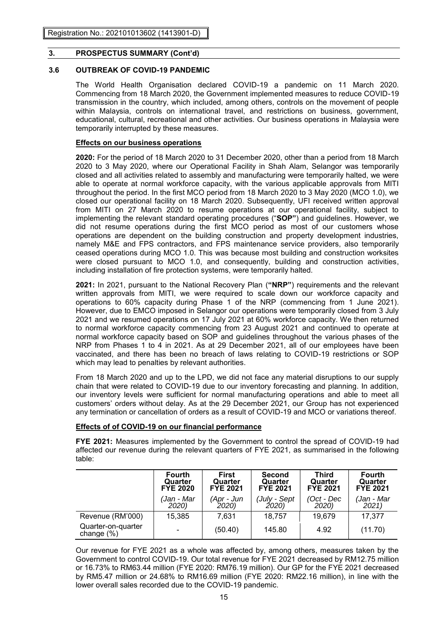# **3.6 OUTBREAK OF COVID-19 PANDEMIC**

The World Health Organisation declared COVID-19 a pandemic on 11 March 2020. Commencing from 18 March 2020, the Government implemented measures to reduce COVID-19 transmission in the country, which included, among others, controls on the movement of people within Malaysia, controls on international travel, and restrictions on business, government, educational, cultural, recreational and other activities. Our business operations in Malaysia were temporarily interrupted by these measures.

# **Effects on our business operations**

**2020:** For the period of 18 March 2020 to 31 December 2020, other than a period from 18 March 2020 to 3 May 2020, where our Operational Facility in Shah Alam, Selangor was temporarily closed and all activities related to assembly and manufacturing were temporarily halted, we were able to operate at normal workforce capacity, with the various applicable approvals from MITI throughout the period. In the first MCO period from 18 March 2020 to 3 May 2020 (MCO 1.0), we closed our operational facility on 18 March 2020. Subsequently, UFI received written approval from MITI on 27 March 2020 to resume operations at our operational facility, subject to implementing the relevant standard operating procedures ("**SOP"**) and guidelines. However, we did not resume operations during the first MCO period as most of our customers whose operations are dependent on the building construction and property development industries, namely M&E and FPS contractors, and FPS maintenance service providers, also temporarily ceased operations during MCO 1.0. This was because most building and construction worksites were closed pursuant to MCO 1.0, and consequently, building and construction activities, including installation of fire protection systems, were temporarily halted.

**2021:** In 2021, pursuant to the National Recovery Plan (**"NRP"**) requirements and the relevant written approvals from MITI, we were required to scale down our workforce capacity and operations to 60% capacity during Phase 1 of the NRP (commencing from 1 June 2021). However, due to EMCO imposed in Selangor our operations were temporarily closed from 3 July 2021 and we resumed operations on 17 July 2021 at 60% workforce capacity. We then returned to normal workforce capacity commencing from 23 August 2021 and continued to operate at normal workforce capacity based on SOP and guidelines throughout the various phases of the NRP from Phases 1 to 4 in 2021. As at 29 December 2021, all of our employees have been vaccinated, and there has been no breach of laws relating to COVID-19 restrictions or SOP which may lead to penalties by relevant authorities.

From 18 March 2020 and up to the LPD, we did not face any material disruptions to our supply chain that were related to COVID-19 due to our inventory forecasting and planning. In addition, our inventory levels were sufficient for normal manufacturing operations and able to meet all customers' orders without delay. As at the 29 December 2021, our Group has not experienced any termination or cancellation of orders as a result of COVID-19 and MCO or variations thereof.

# **Effects of of COVID-19 on our financial performance**

**FYE 2021:** Measures implemented by the Government to control the spread of COVID-19 had affected our revenue during the relevant quarters of FYE 2021, as summarised in the following table:

|                                     | <b>Fourth</b>   | First           | <b>Second</b>   | <b>Third</b>    | <b>Fourth</b>   |
|-------------------------------------|-----------------|-----------------|-----------------|-----------------|-----------------|
|                                     | Quarter         | Quarter         | Quarter         | Quarter         | Quarter         |
|                                     | <b>FYE 2020</b> | <b>FYE 2021</b> | <b>FYE 2021</b> | <b>FYE 2021</b> | <b>FYE 2021</b> |
|                                     | (Jan - Mar      | (Apr - Jun      | (July - Sept    | (Oct - Dec      | (Jan - Mar      |
|                                     | 2020)           | 2020)           | 2020)           | 2020)           | 2021            |
| Revenue (RM'000)                    | 15,385          | 7,631           | 18.757          | 19,679          | 17,377          |
| Quarter-on-quarter<br>change $(\%)$ | $\blacksquare$  | (50.40)         | 145.80          | 4.92            | (11.70)         |

Our revenue for FYE 2021 as a whole was affected by, among others, measures taken by the Government to control COVID-19. Our total revenue for FYE 2021 decreased by RM12.75 million or 16.73% to RM63.44 million (FYE 2020: RM76.19 million). Our GP for the FYE 2021 decreased by RM5.47 million or 24.68% to RM16.69 million (FYE 2020: RM22.16 million), in line with the lower overall sales recorded due to the COVID-19 pandemic.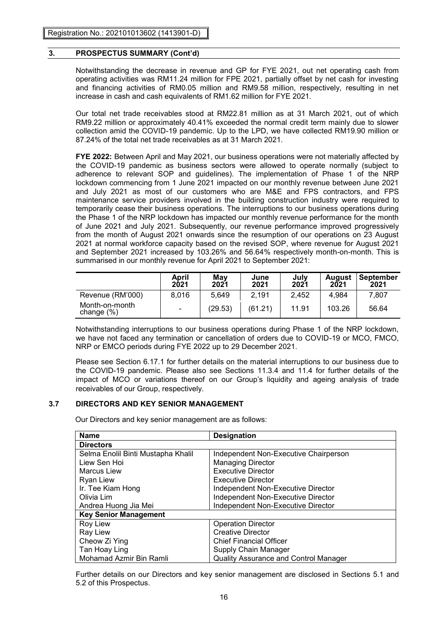Notwithstanding the decrease in revenue and GP for FYE 2021, out net operating cash from operating activities was RM11.24 million for FPE 2021, partially offset by net cash for investing and financing activities of RM0.05 million and RM9.58 million, respectively, resulting in net increase in cash and cash equivalents of RM1.62 million for FYE 2021.

Our total net trade receivables stood at RM22.81 million as at 31 March 2021, out of which RM9.22 million or approximately 40.41% exceeded the normal credit term mainly due to slower collection amid the COVID-19 pandemic. Up to the LPD, we have collected RM19.90 million or 87.24% of the total net trade receivables as at 31 March 2021.

**FYE 2022:** Between April and May 2021, our business operations were not materially affected by the COVID-19 pandemic as business sectors were allowed to operate normally (subject to adherence to relevant SOP and guidelines). The implementation of Phase 1 of the NRP lockdown commencing from 1 June 2021 impacted on our monthly revenue between June 2021 and July 2021 as most of our customers who are M&E and FPS contractors, and FPS maintenance service providers involved in the building construction industry were required to temporarily cease their business operations. The interruptions to our business operations during the Phase 1 of the NRP lockdown has impacted our monthly revenue performance for the month of June 2021 and July 2021. Subsequently, our revenue performance improved progressively from the month of August 2021 onwards since the resumption of our operations on 23 August 2021 at normal workforce capacity based on the revised SOP, where revenue for August 2021 and September 2021 increased by 103.26% and 56.64% respectively month-on-month. This is summarised in our monthly revenue for April 2021 to September 2021:

|                                 | April<br>2021  | May<br>2021 | June<br>2021 | <b>July<br/>2021</b> | August<br>2021 | September<br>2021 |
|---------------------------------|----------------|-------------|--------------|----------------------|----------------|-------------------|
| Revenue (RM'000)                | 8,016          | 5.649       | 2.191        | 2.452                | 4.984          | 7.807             |
| Month-on-month<br>change $(\%)$ | $\blacksquare$ | (29.53)     | (61.21)      | 11.91                | 103.26         | 56.64             |

Notwithstanding interruptions to our business operations during Phase 1 of the NRP lockdown, we have not faced any termination or cancellation of orders due to COVID-19 or MCO, FMCO, NRP or EMCO periods during FYE 2022 up to 29 December 2021.

Please see Section 6.17.1 for further details on the material interruptions to our business due to the COVID-19 pandemic. Please also see Sections 11.3.4 and 11.4 for further details of the impact of MCO or variations thereof on our Group's liquidity and ageing analysis of trade receivables of our Group, respectively.

# **3.7 DIRECTORS AND KEY SENIOR MANAGEMENT**

Our Directors and key senior management are as follows:

| <b>Name</b>                        | <b>Designation</b>                           |
|------------------------------------|----------------------------------------------|
| <b>Directors</b>                   |                                              |
| Selma Enolil Binti Mustapha Khalil | Independent Non-Executive Chairperson        |
| Liew Sen Hoi                       | <b>Managing Director</b>                     |
| <b>Marcus Liew</b>                 | <b>Executive Director</b>                    |
| Ryan Liew                          | <b>Executive Director</b>                    |
| Ir. Tee Kiam Hong                  | Independent Non-Executive Director           |
| Olivia Lim                         | Independent Non-Executive Director           |
| Andrea Huong Jia Mei               | Independent Non-Executive Director           |
| <b>Key Senior Management</b>       |                                              |
| Roy Liew                           | <b>Operation Director</b>                    |
| <b>Ray Liew</b>                    | Creative Director                            |
| Cheow Zi Ying                      | <b>Chief Financial Officer</b>               |
| Tan Hoay Ling                      | Supply Chain Manager                         |
| Mohamad Azmir Bin Ramli            | <b>Quality Assurance and Control Manager</b> |

Further details on our Directors and key senior management are disclosed in Sections 5.1 and 5.2 of this Prospectus.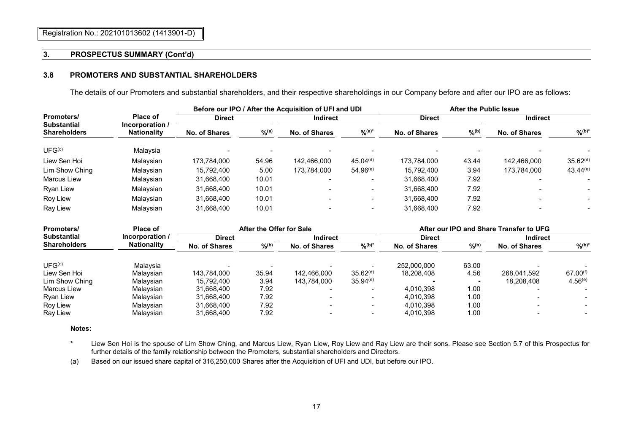## **3.8 PROMOTERS AND SUBSTANTIAL SHAREHOLDERS**

The details of our Promoters and substantial shareholders, and their respective shareholdings in our Company before and after our IPO are as follows:

|                                           |                                       | Before our IPO / After the Acquisition of UFI and UDI |          |                 |                      | <b>After the Public Issue</b> |                     |                 |                      |
|-------------------------------------------|---------------------------------------|-------------------------------------------------------|----------|-----------------|----------------------|-------------------------------|---------------------|-----------------|----------------------|
| Promoters/                                | <b>Place of</b>                       | <b>Direct</b>                                         |          | <b>Indirect</b> |                      | <b>Direct</b>                 |                     | <b>Indirect</b> |                      |
| <b>Substantial</b><br><b>Shareholders</b> | Incorporation /<br><b>Nationality</b> | No. of Shares                                         | $\%$ (a) | No. of Shares   | $\frac{9}{6}$ (a)*   | No. of Shares                 | $\%$ <sup>(b)</sup> | No. of Shares   | $\frac{9}{6}$ (b)*   |
| UFG <sup>(c)</sup>                        | Malavsia                              |                                                       |          |                 |                      |                               |                     |                 |                      |
| Liew Sen Hoi                              | Malavsian                             | 173.784.000                                           | 54.96    | 142.466.000     | 45.04 <sup>(d)</sup> | 173.784.000                   | 43.44               | 142.466.000     | 35.62 <sup>(d)</sup> |
| Lim Show Ching                            | Malavsian                             | 15,792,400                                            | 5.00     | 173.784.000     | $54.96^{(e)}$        | 15.792.400                    | 3.94                | 173.784.000     | $43.44^{(e)}$        |
| Marcus Liew                               | Malavsian                             | 31,668,400                                            | 10.01    |                 |                      | 31,668,400                    | 7.92                |                 |                      |
| Ryan Liew                                 | Malaysian                             | 31,668,400                                            | 10.01    |                 |                      | 31,668,400                    | 7.92                |                 |                      |
| Roy Liew                                  | Malaysian                             | 31,668,400                                            | 10.01    |                 |                      | 31,668,400                    | 7.92                |                 |                      |
| Ray Liew                                  | Malavsian                             | 31,668,400                                            | 10.01    |                 |                      | 31,668,400                    | 7.92                |                 |                      |

| Place of<br>Promoters/                    |                 |                                  | After the Offer for Sale |             |                      |                     |                 | After our IPO and Share Transfer to UFG |               |
|-------------------------------------------|-----------------|----------------------------------|--------------------------|-------------|----------------------|---------------------|-----------------|-----------------------------------------|---------------|
| <b>Substantial</b>                        | Incorporation / | <b>Indirect</b><br><b>Direct</b> |                          |             | <b>Direct</b>        |                     | <b>Indirect</b> |                                         |               |
| <b>Shareholders</b><br><b>Nationality</b> | No. of Shares   | $9/6^{(b)}$                      | No. of Shares            | $%^{(b)*}$  | No. of Shares        | $\%$ <sup>(b)</sup> | No. of Shares   | $9/6(b)^*$                              |               |
| UFG <sup>(c)</sup>                        | Malavsia        |                                  |                          |             |                      | 252.000.000         | 63.00           |                                         |               |
| Liew Sen Hoi                              | Malavsian       | 143.784.000                      | 35.94                    | 142.466.000 | 35.62 <sup>(d)</sup> | 18.208.408          | 4.56            | 268.041.592                             | $67.00^{(f)}$ |
| Lim Show Ching                            | Malavsian       | 15.792.400                       | 3.94                     | 143.784.000 | $35.94^{(e)}$        |                     |                 | 18.208.408                              | $4.56^{(e)}$  |
| Marcus Liew                               | Malavsian       | 31.668.400                       | 7.92                     |             |                      | 4.010.398           | 1.00            |                                         |               |
| Ryan Liew                                 | Malavsian       | 31,668,400                       | 7.92                     |             |                      | 4.010.398           | 1.00            |                                         |               |
| Roy Liew                                  | Malavsian       | 31.668.400                       | 7.92                     |             |                      | 4.010.398           | 1.00            |                                         |               |
| Rav Liew                                  | Malavsian       | 31,668,400                       | 7.92                     |             |                      | 4.010.398           | 1.00            |                                         |               |

**Notes:**

- **\*** Liew Sen Hoi is the spouse of Lim Show Ching, and Marcus Liew, Ryan Liew, Roy Liew and Ray Liew are their sons. Please see Section 5.7 of this Prospectus for further details of the family relationship between the Promoters, substantial shareholders and Directors.
- (a) Based on our issued share capital of 316,250,000 Shares after the Acquisition of UFI and UDI, but before our IPO.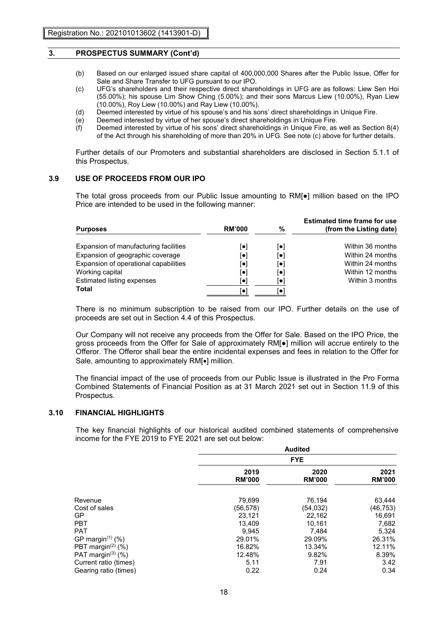- (b) Based on our enlarged issued share capital of 400,000,000 Shares after the Public Issue, Offer for Sale and Share Transfer to UFG pursuant to our IPO.
- (c) UFG's shareholders and their respective direct shareholdings in UFG are as follows: Liew Sen Hoi (55.00%); his spouse Lim Show Ching (5.00%); and their sons Marcus Liew (10.00%), Ryan Liew (10.00%), Roy Liew (10.00%) and Ray Liew (10.00%).
- (d) Deemed interested by virtue of his spouse's and his sons' direct shareholdings in Unique Fire.<br>(e) Deemed interested by virtue of her spouse's direct shareholdings in Unique Fire.
- Deemed interested by virtue of her spouse's direct shareholdings in Unique Fire.
- (f) Deemed interested by virtue of his sons' direct shareholdings in Unique Fire, as well as Section 8(4) of the Act through his shareholding of more than 20% in UFG. See note (c) above for further details.

Further details of our Promoters and substantial shareholders are disclosed in Section 5.1.1 of this Prospectus.

## **3.9 USE OF PROCEEDS FROM OUR IPO**

The total gross proceeds from our Public Issue amounting to RM[●] million based on the IPO Price are intended to be used in the following manner:

| <b>Purposes</b>                       | <b>RM'000</b> | %                        | <b>Estimated time frame for use</b><br>(from the Listing date) |
|---------------------------------------|---------------|--------------------------|----------------------------------------------------------------|
| Expansion of manufacturing facilities | l۰۱           | $\lceil \bullet \rceil$  | Within 36 months                                               |
| Expansion of geographic coverage      | [●]           | $\left[ \bullet \right]$ | Within 24 months                                               |
| Expansion of operational capabilities | l۰۱           | $ \bullet $              | Within 24 months                                               |
| Working capital                       | $ \bullet $   | l۰۱                      | Within 12 months                                               |
| Estimated listing expenses            | $  \bullet  $ | I۰                       | Within 3 months                                                |
| Total                                 | ſ۰            |                          |                                                                |

There is no minimum subscription to be raised from our IPO. Further details on the use of proceeds are set out in Section 4.4 of this Prospectus.

Our Company will not receive any proceeds from the Offer for Sale. Based on the IPO Price, the gross proceeds from the Offer for Sale of approximately RM[●] million will accrue entirely to the Offeror. The Offeror shall bear the entire incidental expenses and fees in relation to the Offer for Sale, amounting to approximately RMI•1 million.

The financial impact of the use of proceeds from our Public Issue is illustrated in the Pro Forma Combined Statements of Financial Position as at 31 March 2021 set out in Section 11.9 of this Prospectus.

#### **3.10 FINANCIAL HIGHLIGHTS**

The key financial highlights of our historical audited combined statements of comprehensive income for the FYE 2019 to FYE 2021 are set out below:

|                                  | Audited<br><b>FYE</b> |                       |                       |  |  |
|----------------------------------|-----------------------|-----------------------|-----------------------|--|--|
|                                  |                       |                       |                       |  |  |
|                                  | 2019<br><b>RM'000</b> | 2020<br><b>RM'000</b> | 2021<br><b>RM'000</b> |  |  |
| Revenue                          | 79,699                | 76,194                | 63,444                |  |  |
| Cost of sales                    | (56,578)              | (54,032)              | (46,753)              |  |  |
| <b>GP</b>                        | 23,121                | 22,162                | 16,691                |  |  |
| <b>PBT</b>                       | 13,409                | 10,161                | 7,682                 |  |  |
| <b>PAT</b>                       | 9,945                 | 7,484                 | 5,324                 |  |  |
| GP margin <sup>(1)</sup> (%)     | 29.01%                | 29.09%                | 26.31%                |  |  |
| PBT margin $(2)$ (%)             | 16.82%                | 13.34%                | 12.11%                |  |  |
| PAT margin <sup>(3)</sup> $(\%)$ | 12.48%                | 9.82%                 | 8.39%                 |  |  |
| Current ratio (times)            | 5.11                  | 7.91                  | 3.42                  |  |  |
| Gearing ratio (times)            | 0.22                  | 0.24                  | 0.34                  |  |  |